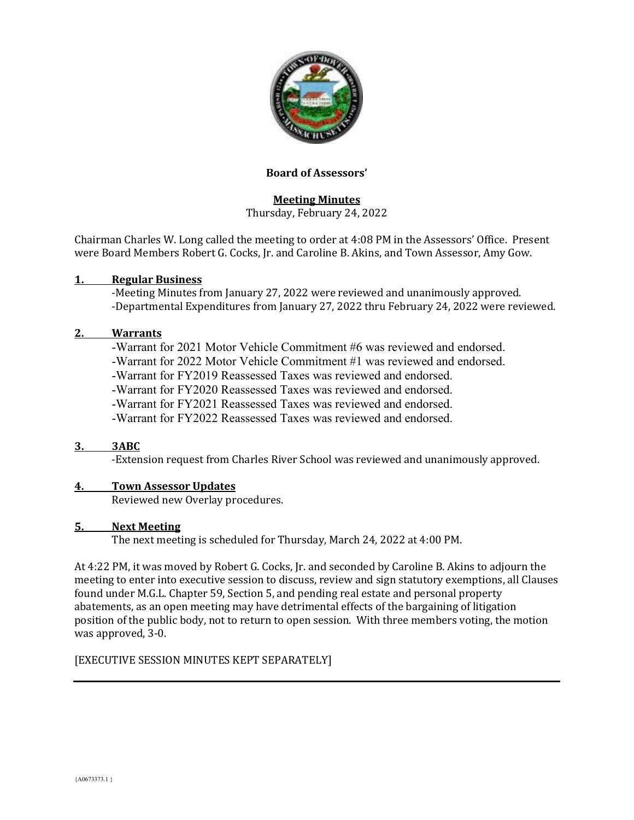

### **Board of Assessors'**

# **Meeting Minutes**

Thursday, February 24, 2022

Chairman Charles W. Long called the meeting to order at 4:08 PM in the Assessors' Office. Present were Board Members Robert G. Cocks, Jr. and Caroline B. Akins, and Town Assessor, Amy Gow.

### **1. Regular Business**

-Meeting Minutes from January 27, 2022 were reviewed and unanimously approved. -Departmental Expenditures from January 27, 2022 thru February 24, 2022 were reviewed.

### **2. Warrants**

-Warrant for 2021 Motor Vehicle Commitment #6 was reviewed and endorsed.

-Warrant for 2022 Motor Vehicle Commitment #1 was reviewed and endorsed.

-Warrant for FY2019 Reassessed Taxes was reviewed and endorsed.

-Warrant for FY2020 Reassessed Taxes was reviewed and endorsed.

-Warrant for FY2021 Reassessed Taxes was reviewed and endorsed.

-Warrant for FY2022 Reassessed Taxes was reviewed and endorsed.

### **3. 3ABC**

-Extension request from Charles River School was reviewed and unanimously approved.

### **4. Town Assessor Updates**

Reviewed new Overlay procedures.

### **5. Next Meeting**

The next meeting is scheduled for Thursday, March 24, 2022 at 4:00 PM.

At 4:22 PM, it was moved by Robert G. Cocks, Jr. and seconded by Caroline B. Akins to adjourn the meeting to enter into executive session to discuss, review and sign statutory exemptions, all Clauses found under M.G.L. Chapter 59, Section 5, and pending real estate and personal property abatements, as an open meeting may have detrimental effects of the bargaining of litigation position of the public body, not to return to open session. With three members voting, the motion was approved, 3-0.

### [EXECUTIVE SESSION MINUTES KEPT SEPARATELY]